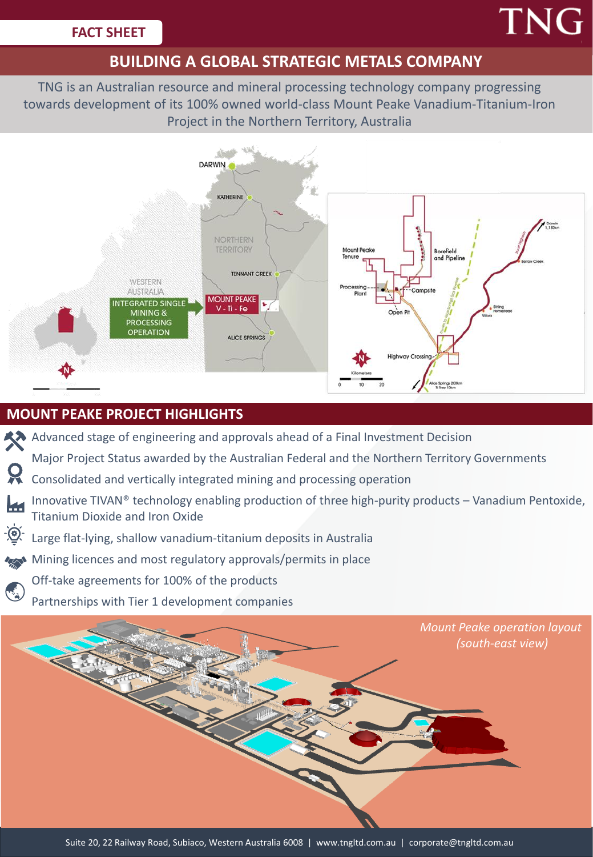# **TNG**

# **BUILDING A GLOBAL STRATEGIC METALS COMPANY**

TNG is an Australian resource and mineral processing technology company progressing towards development of its 100% owned world-class Mount Peake Vanadium-Titanium-Iron Project in the Northern Territory, Australia



## **MOUNT PEAKE PROJECT HIGHLIGHTS**

- Advanced stage of engineering and approvals ahead of a Final Investment Decision
- Major Project Status awarded by the Australian Federal and the Northern Territory Governments
- Consolidated and vertically integrated mining and processing operation
- Innovative TIVAN® technology enabling production of three high-purity products Vanadium Pentoxide, Titanium Dioxide and Iron Oxide
- <u>-(၀)</u> Large flat-lying, shallow vanadium-titanium deposits in Australia
- Mining licences and most regulatory approvals/permits in place
	- Off-take agreements for 100% of the products
	- Partnerships with Tier 1 development companies